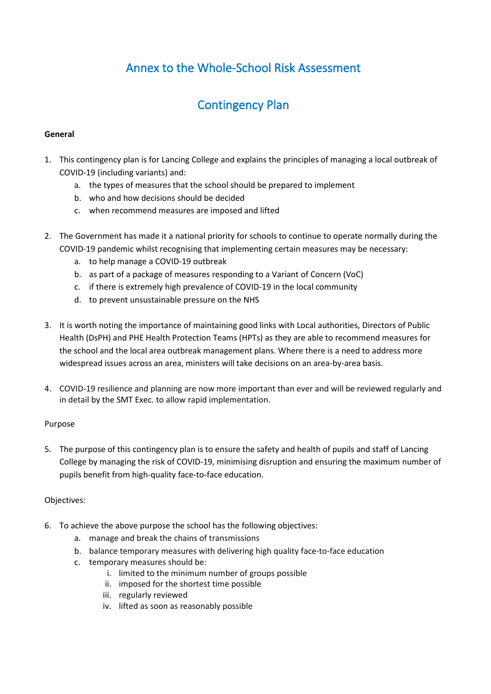# Annex to the Whole-School Risk Assessment

# Contingency Plan

### **General**

- 1. This contingency plan is for Lancing College and explains the principles of managing a local outbreak of COVID-19 (including variants) and:
	- a. the types of measures that the school should be prepared to implement
	- b. who and how decisions should be decided
	- c. when recommend measures are imposed and lifted
- 2. The Government has made it a national priority for schools to continue to operate normally during the COVID-19 pandemic whilst recognising that implementing certain measures may be necessary:
	- a. to help manage a COVID-19 outbreak
	- b. as part of a package of measures responding to a Variant of Concern (VoC)
	- c. if there is extremely high prevalence of COVID-19 in the local community
	- d. to prevent unsustainable pressure on the NHS
- 3. It is worth noting the importance of maintaining good links with Local authorities, Directors of Public Health (DsPH) and PHE Health Protection Teams (HPTs) as they are able to recommend measures for the school and the local area outbreak management plans. Where there is a need to address more widespread issues across an area, ministers will take decisions on an area-by-area basis.
- 4. COVID-19 resilience and planning are now more important than ever and will be reviewed regularly and in detail by the SMT Exec. to allow rapid implementation.

### Purpose

5. The purpose of this contingency plan is to ensure the safety and health of pupils and staff of Lancing College by managing the risk of COVID-19, minimising disruption and ensuring the maximum number of pupils benefit from high-quality face-to-face education.

## Objectives:

- 6. To achieve the above purpose the school has the following objectives:
	- a. manage and break the chains of transmissions
	- b. balance temporary measures with delivering high quality face-to-face education
	- c. temporary measures should be:
		- i. limited to the minimum number of groups possible
		- ii. imposed for the shortest time possible
		- iii. regularly reviewed
		- iv. lifted as soon as reasonably possible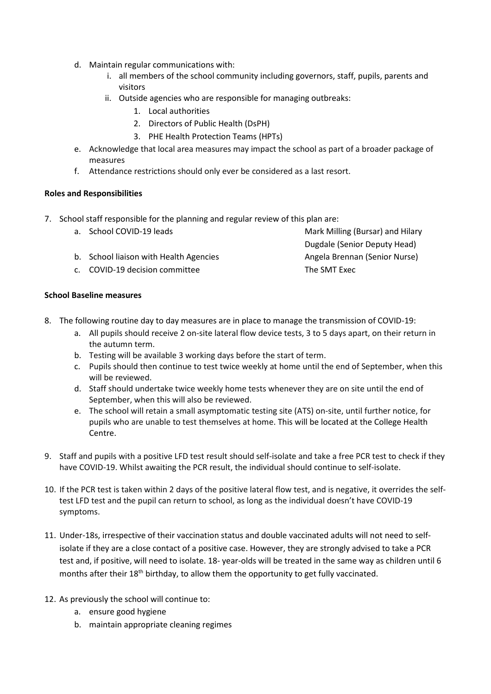- d. Maintain regular communications with:
	- i. all members of the school community including governors, staff, pupils, parents and visitors
	- ii. Outside agencies who are responsible for managing outbreaks:
		- 1. Local authorities
		- 2. Directors of Public Health (DsPH)
		- 3. PHE Health Protection Teams (HPTs)
- e. Acknowledge that local area measures may impact the school as part of a broader package of measures
- f. Attendance restrictions should only ever be considered as a last resort.

#### **Roles and Responsibilities**

- 7. School staff responsible for the planning and regular review of this plan are:
	- a. School COVID-19 leads
	- b. School liaison with Health Agencies
	- c. COVID-19 decision committee

Mark Milling (Bursar) and Hilary Dugdale (Senior Deputy Head) Angela Brennan (Senior Nurse) The SMT Exec

### **School Baseline measures**

- 8. The following routine day to day measures are in place to manage the transmission of COVID-19:
	- a. All pupils should receive 2 on-site lateral flow device tests, 3 to 5 days apart, on their return in the autumn term.
	- b. Testing will be available 3 working days before the start of term.
	- c. Pupils should then continue to test twice weekly at home until the end of September, when this will be reviewed.
	- d. Staff should undertake twice weekly home tests whenever they are on site until the end of September, when this will also be reviewed.
	- e. The school will retain a small asymptomatic testing site (ATS) on-site, until further notice, for pupils who are unable to test themselves at home. This will be located at the College Health Centre.
- 9. Staff and pupils with a positive LFD test result should self-isolate and take a free PCR test to check if they have COVID-19. Whilst awaiting the PCR result, the individual should continue to self-isolate.
- 10. If the PCR test is taken within 2 days of the positive lateral flow test, and is negative, it overrides the selftest LFD test and the pupil can return to school, as long as the individual doesn't have COVID-19 symptoms.
- 11. Under-18s, irrespective of their vaccination status and double vaccinated adults will not need to selfisolate if they are a close contact of a positive case. However, they are strongly advised to take a PCR test and, if positive, will need to isolate. 18- year-olds will be treated in the same way as children until 6 months after their  $18<sup>th</sup>$  birthday, to allow them the opportunity to get fully vaccinated.
- 12. As previously the school will continue to:
	- a. ensure good hygiene
	- b. maintain appropriate cleaning regimes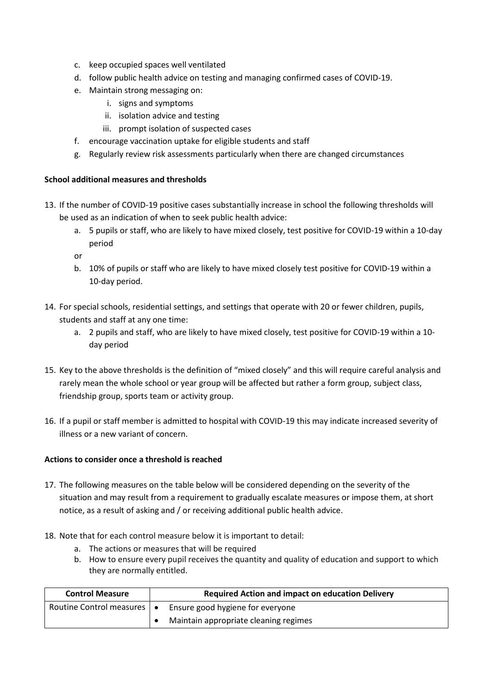- c. keep occupied spaces well ventilated
- d. follow public health advice on testing and managing confirmed cases of COVID-19.
- e. Maintain strong messaging on:
	- i. signs and symptoms
	- ii. isolation advice and testing
	- iii. prompt isolation of suspected cases
- f. encourage vaccination uptake for eligible students and staff
- g. Regularly review risk assessments particularly when there are changed circumstances

#### **School additional measures and thresholds**

- 13. If the number of COVID-19 positive cases substantially increase in school the following thresholds will be used as an indication of when to seek public health advice:
	- a. 5 pupils or staff, who are likely to have mixed closely, test positive for COVID-19 within a 10-day period
	- or
	- b. 10% of pupils or staff who are likely to have mixed closely test positive for COVID-19 within a 10-day period.
- 14. For special schools, residential settings, and settings that operate with 20 or fewer children, pupils, students and staff at any one time:
	- a. 2 pupils and staff, who are likely to have mixed closely, test positive for COVID-19 within a 10 day period
- 15. Key to the above thresholds is the definition of "mixed closely" and this will require careful analysis and rarely mean the whole school or year group will be affected but rather a form group, subject class, friendship group, sports team or activity group.
- 16. If a pupil or staff member is admitted to hospital with COVID-19 this may indicate increased severity of illness or a new variant of concern.

#### **Actions to consider once a threshold is reached**

- 17. The following measures on the table below will be considered depending on the severity of the situation and may result from a requirement to gradually escalate measures or impose them, at short notice, as a result of asking and / or receiving additional public health advice.
- 18. Note that for each control measure below it is important to detail:
	- a. The actions or measures that will be required
	- b. How to ensure every pupil receives the quantity and quality of education and support to which they are normally entitled.

| <b>Control Measure</b>       | <b>Required Action and impact on education Delivery</b> |
|------------------------------|---------------------------------------------------------|
| Routine Control measures   • | Ensure good hygiene for everyone                        |
|                              | Maintain appropriate cleaning regimes                   |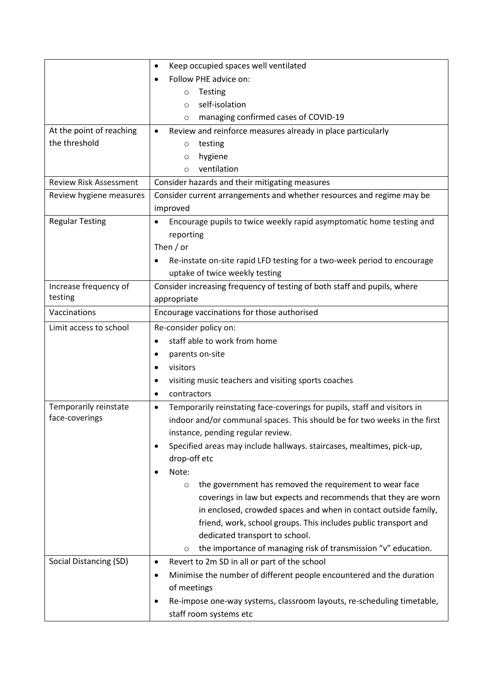|                               | Keep occupied spaces well ventilated<br>$\bullet$                                                                                 |  |  |
|-------------------------------|-----------------------------------------------------------------------------------------------------------------------------------|--|--|
|                               | Follow PHE advice on:                                                                                                             |  |  |
|                               | Testing<br>$\circ$                                                                                                                |  |  |
|                               | self-isolation<br>$\circ$                                                                                                         |  |  |
|                               | managing confirmed cases of COVID-19<br>$\circ$                                                                                   |  |  |
| At the point of reaching      | Review and reinforce measures already in place particularly                                                                       |  |  |
| the threshold                 | testing<br>$\circ$                                                                                                                |  |  |
|                               | hygiene<br>$\circ$                                                                                                                |  |  |
|                               | ventilation<br>$\circ$                                                                                                            |  |  |
| <b>Review Risk Assessment</b> | Consider hazards and their mitigating measures                                                                                    |  |  |
| Review hygiene measures       | Consider current arrangements and whether resources and regime may be                                                             |  |  |
|                               | improved                                                                                                                          |  |  |
| <b>Regular Testing</b>        | Encourage pupils to twice weekly rapid asymptomatic home testing and                                                              |  |  |
|                               | reporting                                                                                                                         |  |  |
|                               | Then $/$ or                                                                                                                       |  |  |
|                               | Re-instate on-site rapid LFD testing for a two-week period to encourage                                                           |  |  |
|                               | uptake of twice weekly testing                                                                                                    |  |  |
| Increase frequency of         | Consider increasing frequency of testing of both staff and pupils, where                                                          |  |  |
| testing                       | appropriate                                                                                                                       |  |  |
| Vaccinations                  | Encourage vaccinations for those authorised                                                                                       |  |  |
| Limit access to school        | Re-consider policy on:                                                                                                            |  |  |
|                               | staff able to work from home                                                                                                      |  |  |
|                               | parents on-site                                                                                                                   |  |  |
|                               | visitors                                                                                                                          |  |  |
|                               | visiting music teachers and visiting sports coaches                                                                               |  |  |
|                               | contractors                                                                                                                       |  |  |
| Temporarily reinstate         | Temporarily reinstating face-coverings for pupils, staff and visitors in<br>$\bullet$                                             |  |  |
| face-coverings                | indoor and/or communal spaces. This should be for two weeks in the first                                                          |  |  |
|                               | instance, pending regular review.                                                                                                 |  |  |
|                               | Specified areas may include hallways. staircases, mealtimes, pick-up,                                                             |  |  |
|                               | drop-off etc                                                                                                                      |  |  |
|                               | Note:                                                                                                                             |  |  |
|                               | the government has removed the requirement to wear face<br>$\circ$                                                                |  |  |
|                               | coverings in law but expects and recommends that they are worn<br>in enclosed, crowded spaces and when in contact outside family, |  |  |
|                               |                                                                                                                                   |  |  |
|                               | friend, work, school groups. This includes public transport and<br>dedicated transport to school.                                 |  |  |
|                               | the importance of managing risk of transmission "v" education.<br>$\circ$                                                         |  |  |
| Social Distancing (SD)        | Revert to 2m SD in all or part of the school<br>$\bullet$                                                                         |  |  |
|                               | Minimise the number of different people encountered and the duration<br>٠                                                         |  |  |
|                               | of meetings                                                                                                                       |  |  |
|                               | Re-impose one-way systems, classroom layouts, re-scheduling timetable,<br>$\bullet$                                               |  |  |
|                               | staff room systems etc                                                                                                            |  |  |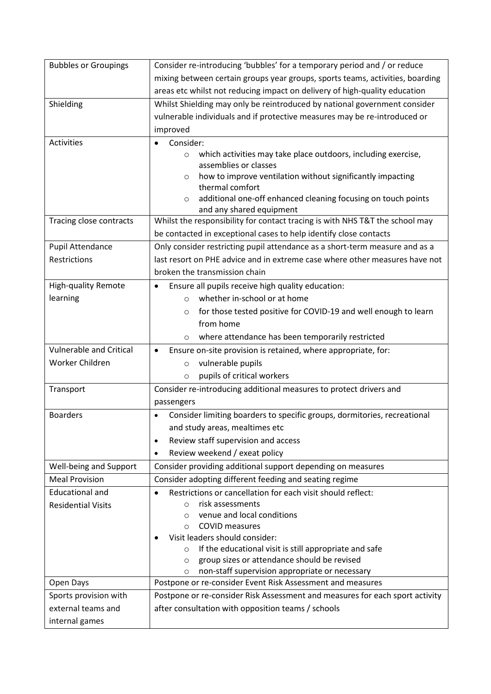| <b>Bubbles or Groupings</b>    | Consider re-introducing 'bubbles' for a temporary period and / or reduce                    |
|--------------------------------|---------------------------------------------------------------------------------------------|
|                                | mixing between certain groups year groups, sports teams, activities, boarding               |
|                                | areas etc whilst not reducing impact on delivery of high-quality education                  |
| Shielding                      | Whilst Shielding may only be reintroduced by national government consider                   |
|                                | vulnerable individuals and if protective measures may be re-introduced or                   |
|                                | improved                                                                                    |
| Activities                     | Consider:                                                                                   |
|                                | which activities may take place outdoors, including exercise,<br>$\circ$                    |
|                                | assemblies or classes                                                                       |
|                                | how to improve ventilation without significantly impacting<br>$\circ$                       |
|                                | thermal comfort<br>additional one-off enhanced cleaning focusing on touch points<br>$\circ$ |
|                                | and any shared equipment                                                                    |
| Tracing close contracts        | Whilst the responsibility for contact tracing is with NHS T&T the school may                |
|                                | be contacted in exceptional cases to help identify close contacts                           |
| Pupil Attendance               | Only consider restricting pupil attendance as a short-term measure and as a                 |
| Restrictions                   | last resort on PHE advice and in extreme case where other measures have not                 |
|                                | broken the transmission chain                                                               |
| <b>High-quality Remote</b>     | Ensure all pupils receive high quality education:                                           |
| learning                       | whether in-school or at home<br>$\circ$                                                     |
|                                | for those tested positive for COVID-19 and well enough to learn<br>$\circ$                  |
|                                | from home                                                                                   |
|                                | where attendance has been temporarily restricted<br>$\circ$                                 |
| <b>Vulnerable and Critical</b> | Ensure on-site provision is retained, where appropriate, for:                               |
| Worker Children                | vulnerable pupils<br>$\circ$                                                                |
|                                | pupils of critical workers<br>$\circ$                                                       |
| Transport                      | Consider re-introducing additional measures to protect drivers and                          |
|                                | passengers                                                                                  |
| <b>Boarders</b>                | Consider limiting boarders to specific groups, dormitories, recreational                    |
|                                | and study areas, mealtimes etc                                                              |
|                                | Review staff supervision and access<br>$\bullet$                                            |
|                                | Review weekend / exeat policy<br>$\bullet$                                                  |
| Well-being and Support         | Consider providing additional support depending on measures                                 |
| <b>Meal Provision</b>          | Consider adopting different feeding and seating regime                                      |
| <b>Educational and</b>         | Restrictions or cancellation for each visit should reflect:<br>$\bullet$                    |
| <b>Residential Visits</b>      | risk assessments<br>$\Omega$                                                                |
|                                | venue and local conditions<br>$\circ$                                                       |
|                                | <b>COVID measures</b><br>$\circ$<br>Visit leaders should consider:                          |
|                                | If the educational visit is still appropriate and safe<br>$\circ$                           |
|                                | group sizes or attendance should be revised<br>$\circ$                                      |
|                                | non-staff supervision appropriate or necessary<br>$\circ$                                   |
| Open Days                      | Postpone or re-consider Event Risk Assessment and measures                                  |
| Sports provision with          | Postpone or re-consider Risk Assessment and measures for each sport activity                |
| external teams and             | after consultation with opposition teams / schools                                          |
| internal games                 |                                                                                             |